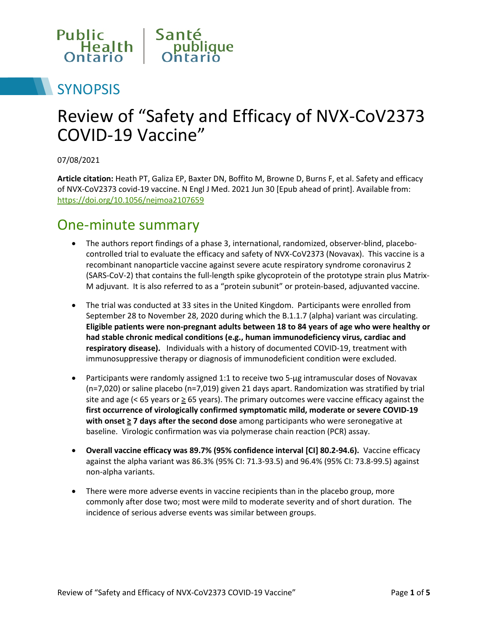

# **SYNOPSIS**

# Review of "Safety and Efficacy of NVX-CoV2373 COVID-19 Vaccine"

07/08/2021

**Article citation:** Heath PT, Galiza EP, Baxter DN, Boffito M, Browne D, Burns F, et al. Safety and efficacy of NVX-CoV2373 covid-19 vaccine. N Engl J Med. 2021 Jun 30 [Epub ahead of print]. Available from: <https://doi.org/10.1056/nejmoa2107659>

#### One-minute summary

- The authors report findings of a phase 3, international, randomized, observer-blind, placebocontrolled trial to evaluate the efficacy and safety of NVX-CoV2373 (Novavax). This vaccine is a recombinant nanoparticle vaccine against severe acute respiratory syndrome coronavirus 2 (SARS-CoV-2) that contains the full-length spike glycoprotein of the prototype strain plus Matrix-M adjuvant. It is also referred to as a "protein subunit" or protein-based, adjuvanted vaccine.
- The trial was conducted at 33 sites in the United Kingdom. Participants were enrolled from September 28 to November 28, 2020 during which the B.1.1.7 (alpha) variant was circulating. **Eligible patients were non-pregnant adults between 18 to 84 years of age who were healthy or had stable chronic medical conditions (e.g., human immunodeficiency virus, cardiac and respiratory disease).** Individuals with a history of documented COVID-19, treatment with immunosuppressive therapy or diagnosis of immunodeficient condition were excluded.
- Participants were randomly assigned 1:1 to receive two 5-ug intramuscular doses of Novavax (n=7,020) or saline placebo (n=7,019) given 21 days apart. Randomization was stratified by trial site and age (< 65 years or  $\geq$  65 years). The primary outcomes were vaccine efficacy against the **first occurrence of virologically confirmed symptomatic mild, moderate or severe COVID-19 with onset ≥ 7 days after the second dose** among participants who were seronegative at baseline.Virologic confirmation was via polymerase chain reaction (PCR) assay.
- **Overall vaccine efficacy was 89.7% (95% confidence interval [CI] 80.2-94.6).** Vaccine efficacy against the alpha variant was 86.3% (95% CI: 71.3-93.5) and 96.4% (95% CI: 73.8-99.5) against non-alpha variants.
- There were more adverse events in vaccine recipients than in the placebo group, more commonly after dose two; most were mild to moderate severity and of short duration. The incidence of serious adverse events was similar between groups.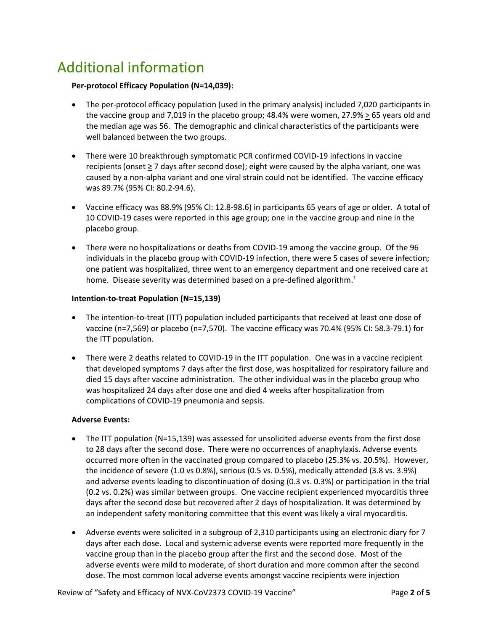## Additional information

#### **Per-protocol Efficacy Population (N=14,039):**

- The per-protocol efficacy population (used in the primary analysis) included 7,020 participants in the vaccine group and 7,019 in the placebo group; 48.4% were women, 27.9% > 65 years old and the median age was 56. The demographic and clinical characteristics of the participants were well balanced between the two groups.
- There were 10 breakthrough symptomatic PCR confirmed COVID-19 infections in vaccine recipients (onset  $\geq$  7 days after second dose); eight were caused by the alpha variant, one was caused by a non-alpha variant and one viral strain could not be identified. The vaccine efficacy was 89.7% (95% CI: 80.2-94.6).
- Vaccine efficacy was 88.9% (95% CI: 12.8-98.6) in participants 65 years of age or older. A total of 10 COVID-19 cases were reported in this age group; one in the vaccine group and nine in the placebo group.
- There were no hospitalizations or deaths from COVID-19 among the vaccine group. Of the 96 individuals in the placebo group with COVID-19 infection, there were 5 cases of severe infection; one patient was hospitalized, three went to an emergency department and one received care at home. Disease severity was determined based on a pre-defined algorithm.<sup>1</sup>

#### **Intention-to-treat Population (N=15,139)**

- The intention-to-treat (ITT) population included participants that received at least one dose of vaccine (n=7,569) or placebo (n=7,570). The vaccine efficacy was 70.4% (95% CI: 58.3-79.1) for the ITT population.
- There were 2 deaths related to COVID-19 in the ITT population. One was in a vaccine recipient that developed symptoms 7 days after the first dose, was hospitalized for respiratory failure and died 15 days after vaccine administration. The other individual was in the placebo group who was hospitalized 24 days after dose one and died 4 weeks after hospitalization from complications of COVID-19 pneumonia and sepsis.

#### **Adverse Events:**

- The ITT population (N=15,139) was assessed for unsolicited adverse events from the first dose to 28 days after the second dose. There were no occurrences of anaphylaxis. Adverse events occurred more often in the vaccinated group compared to placebo (25.3% vs. 20.5%). However, the incidence of severe (1.0 vs 0.8%), serious (0.5 vs. 0.5%), medically attended (3.8 vs. 3.9%) and adverse events leading to discontinuation of dosing (0.3 vs. 0.3%) or participation in the trial (0.2 vs. 0.2%) was similar between groups. One vaccine recipient experienced myocarditis three days after the second dose but recovered after 2 days of hospitalization. It was determined by an independent safety monitoring committee that this event was likely a viral myocarditis.
- Adverse events were solicited in a subgroup of 2,310 participants using an electronic diary for 7 days after each dose. Local and systemic adverse events were reported more frequently in the vaccine group than in the placebo group after the first and the second dose. Most of the adverse events were mild to moderate, of short duration and more common after the second dose. The most common local adverse events amongst vaccine recipients were injection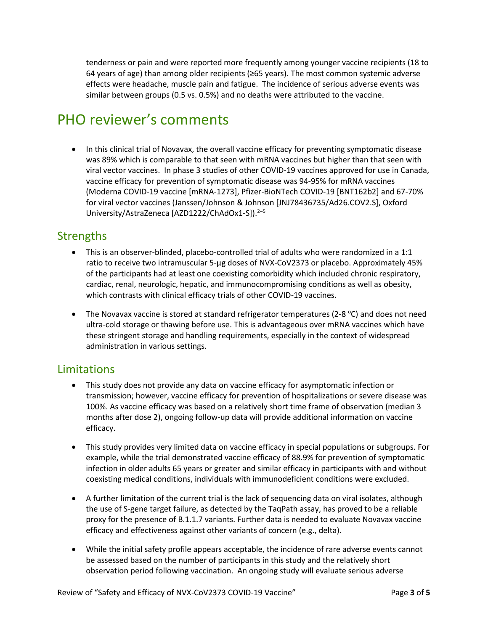tenderness or pain and were reported more frequently among younger vaccine recipients (18 to 64 years of age) than among older recipients (≥65 years). The most common systemic adverse effects were headache, muscle pain and fatigue. The incidence of serious adverse events was similar between groups (0.5 vs. 0.5%) and no deaths were attributed to the vaccine.

### PHO reviewer's comments

• In this clinical trial of Novavax, the overall vaccine efficacy for preventing symptomatic disease was 89% which is comparable to that seen with mRNA vaccines but higher than that seen with viral vector vaccines. In phase 3 studies of other COVID-19 vaccines approved for use in Canada, vaccine efficacy for prevention of symptomatic disease was 94-95% for mRNA vaccines (Moderna COVID-19 vaccine [mRNA-1273], Pfizer-BioNTech COVID-19 [BNT162b2] and 67-70% for viral vector vaccines (Janssen/Johnson & Johnson [JNJ78436735/Ad26.COV2.S], Oxford University/AstraZeneca [AZD1222/ChAdOx1-S]).<sup>2-5</sup>

#### **Strengths**

- This is an observer-blinded, placebo-controlled trial of adults who were randomized in a 1:1 ratio to receive two intramuscular 5-μg doses of NVX-CoV2373 or placebo. Approximately 45% of the participants had at least one coexisting comorbidity which included chronic respiratory, cardiac, renal, neurologic, hepatic, and immunocompromising conditions as well as obesity, which contrasts with clinical efficacy trials of other COVID-19 vaccines.
- The Novavax vaccine is stored at standard refrigerator temperatures (2-8  $^{\circ}$ C) and does not need ultra-cold storage or thawing before use. This is advantageous over mRNA vaccines which have these stringent storage and handling requirements, especially in the context of widespread administration in various settings.

#### **Limitations**

- This study does not provide any data on vaccine efficacy for asymptomatic infection or transmission; however, vaccine efficacy for prevention of hospitalizations or severe disease was 100%. As vaccine efficacy was based on a relatively short time frame of observation (median 3 months after dose 2), ongoing follow-up data will provide additional information on vaccine efficacy.
- This study provides very limited data on vaccine efficacy in special populations or subgroups. For example, while the trial demonstrated vaccine efficacy of 88.9% for prevention of symptomatic infection in older adults 65 years or greater and similar efficacy in participants with and without coexisting medical conditions, individuals with immunodeficient conditions were excluded.
- A further limitation of the current trial is the lack of sequencing data on viral isolates, although the use of S-gene target failure, as detected by the TaqPath assay, has proved to be a reliable proxy for the presence of B.1.1.7 variants. Further data is needed to evaluate Novavax vaccine efficacy and effectiveness against other variants of concern (e.g., delta).
- While the initial safety profile appears acceptable, the incidence of rare adverse events cannot be assessed based on the number of participants in this study and the relatively short observation period following vaccination. An ongoing study will evaluate serious adverse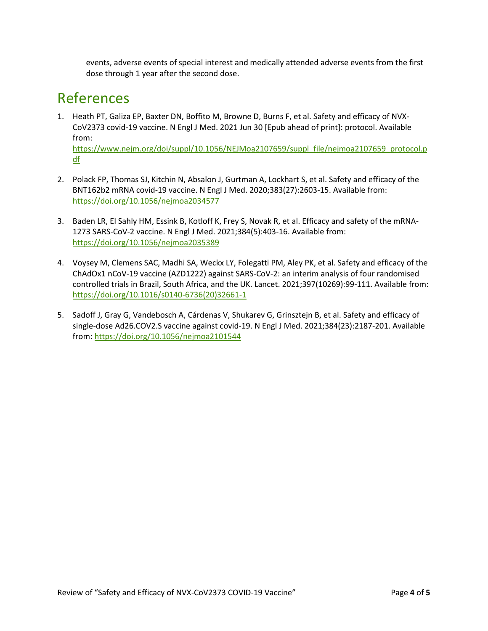events, adverse events of special interest and medically attended adverse events from the first dose through 1 year after the second dose.

#### References

1. Heath PT, Galiza EP, Baxter DN, Boffito M, Browne D, Burns F, et al. Safety and efficacy of NVX-CoV2373 covid-19 vaccine. N Engl J Med. 2021 Jun 30 [Epub ahead of print]: protocol. Available from:

[https://www.nejm.org/doi/suppl/10.1056/NEJMoa2107659/suppl\\_file/nejmoa2107659\\_protocol.p](https://www.nejm.org/doi/suppl/10.1056/NEJMoa2107659/suppl_file/nejmoa2107659_protocol.pdf) [df](https://www.nejm.org/doi/suppl/10.1056/NEJMoa2107659/suppl_file/nejmoa2107659_protocol.pdf) 

- 2. Polack FP, Thomas SJ, Kitchin N, Absalon J, Gurtman A, Lockhart S, et al. Safety and efficacy of the BNT162b2 mRNA covid-19 vaccine. N Engl J Med. 2020;383(27):2603-15. Available from: <https://doi.org/10.1056/nejmoa2034577>
- 3. Baden LR, El Sahly HM, Essink B, Kotloff K, Frey S, Novak R, et al. Efficacy and safety of the mRNA-1273 SARS-CoV-2 vaccine. N Engl J Med. 2021;384(5):403-16. Available from: <https://doi.org/10.1056/nejmoa2035389>
- 4. Voysey M, Clemens SAC, Madhi SA, Weckx LY, Folegatti PM, Aley PK, et al. Safety and efficacy of the ChAdOx1 nCoV-19 vaccine (AZD1222) against SARS-CoV-2: an interim analysis of four randomised controlled trials in Brazil, South Africa, and the UK. Lancet. 2021;397(10269):99-111. Available from: [https://doi.org/10.1016/s0140-6736\(20\)32661-1](https://doi.org/10.1016/s0140-6736(20)32661-1)
- 5. Sadoff J, Gray G, Vandebosch A, Cárdenas V, Shukarev G, Grinsztejn B, et al. Safety and efficacy of single-dose Ad26.COV2.S vaccine against covid-19. N Engl J Med. 2021;384(23):2187-201. Available from[: https://doi.org/10.1056/nejmoa2101544](https://doi.org/10.1056/nejmoa2101544)